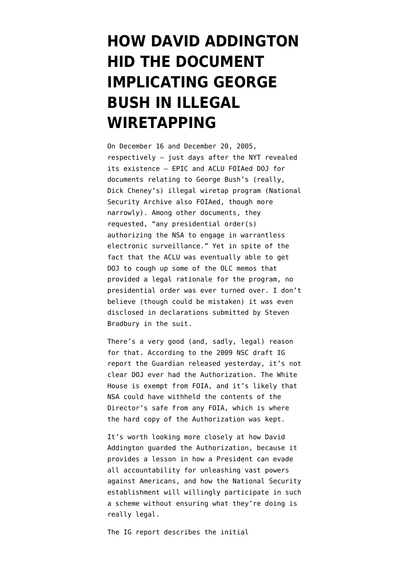## **[HOW DAVID ADDINGTON](https://www.emptywheel.net/2013/06/28/how-david-addington-hid-the-document-implicating-george-bush-in-illegal-wiretapping/) [HID THE DOCUMENT](https://www.emptywheel.net/2013/06/28/how-david-addington-hid-the-document-implicating-george-bush-in-illegal-wiretapping/) [IMPLICATING GEORGE](https://www.emptywheel.net/2013/06/28/how-david-addington-hid-the-document-implicating-george-bush-in-illegal-wiretapping/) [BUSH IN ILLEGAL](https://www.emptywheel.net/2013/06/28/how-david-addington-hid-the-document-implicating-george-bush-in-illegal-wiretapping/) [WIRETAPPING](https://www.emptywheel.net/2013/06/28/how-david-addington-hid-the-document-implicating-george-bush-in-illegal-wiretapping/)**

On December 16 and December 20, 2005, respectively — just days after the [NYT revealed](http://www.nytimes.com/2005/12/16/politics/16program.html?pagewanted=all) [its existence](http://www.nytimes.com/2005/12/16/politics/16program.html?pagewanted=all) — EPIC and ACLU [FOIAed DOJ](http://www.aclu.org/files/pdfs/safefree/aclu_v_doj_foia_complaint.pdf) for documents relating to George Bush's (really, Dick Cheney's) illegal wiretap program (National Security Archive also FOIAed, though more narrowly). Among other documents, they requested, "any presidential order(s) authorizing the NSA to engage in warrantless electronic surveillance." Yet in spite of the fact that the ACLU was eventually able to get DOJ to cough up [some of the OLC memos](https://webspace.utexas.edu/rmc2289/OLC%2054.FINAL.PDF) that provided a legal rationale for the program, no presidential order was ever turned over. I don't believe (though could be mistaken) it was even disclosed in [declarations](http://www.aclu.org/files/pdfs/safefree/aclu_v_doj_declaration_steveng_bradbury.pdf) [submitted](http://www.aclu.org/pdfs/safefree/aclu_v_doj_2nd_declaration_steven_bradbury.pdf) by Steven Bradbury in the suit.

There's a very good (and, sadly, legal) reason for that. According to the [2009 NSC draft IG](http://www.emptywheel.net/wp-content/uploads/2013/06/090324-Draft-NSA-IG-Report.pdf) [report](http://www.emptywheel.net/wp-content/uploads/2013/06/090324-Draft-NSA-IG-Report.pdf) the Guardian released yesterday, it's not clear DOJ ever had the Authorization. The White House is exempt from FOIA, and it's likely that NSA could have withheld the contents of the Director's safe from any FOIA, which is where the hard copy of the Authorization was kept.

It's worth looking more closely at how David Addington guarded the Authorization, because it provides a lesson in how a President can evade all accountability for unleashing vast powers against Americans, and how the National Security establishment will willingly participate in such a scheme without ensuring what they're doing is really legal.

The IG report describes the initial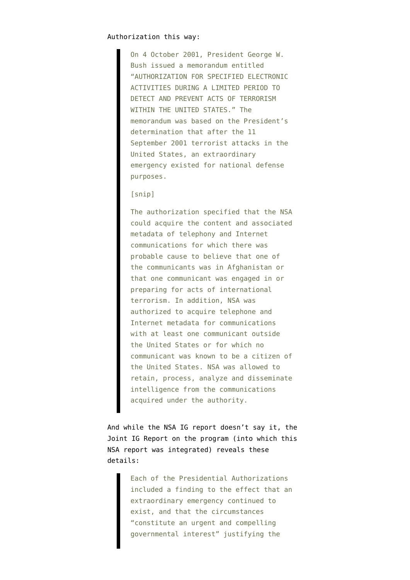On 4 October 2001, President George W. Bush issued a memorandum entitled "AUTHORIZATION FOR SPECIFIED ELECTRONIC ACTIVITIES DURING A LIMITED PERIOD TO DETECT AND PREVENT ACTS OF TERRORISM WITHIN THE UNITED STATES." The memorandum was based on the President's determination that after the 11 September 2001 terrorist attacks in the United States, an extraordinary emergency existed for national defense purposes.

## [snip]

The authorization specified that the NSA could acquire the content and associated metadata of telephony and Internet communications for which there was probable cause to believe that one of the communicants was in Afghanistan or that one communicant was engaged in or preparing for acts of international terrorism. In addition, NSA was authorized to acquire telephone and Internet metadata for communications with at least one communicant outside the United States or for which no communicant was known to be a citizen of the United States. NSA was allowed to retain, process, analyze and disseminate intelligence from the communications acquired under the authority.

And while the NSA IG report doesn't say it, the [Joint IG Report](https://www.fas.org/irp/eprint/psp.pdf) on the program (into which this NSA report was integrated) reveals these details:

> Each of the Presidential Authorizations included a finding to the effect that an extraordinary emergency continued to exist, and that the circumstances "constitute an urgent and compelling governmental interest" justifying the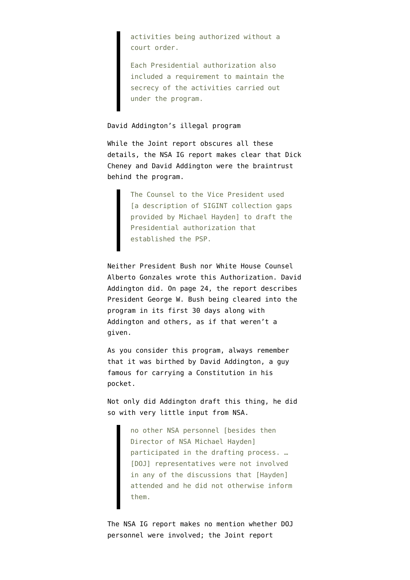activities being authorized without a court order.

Each Presidential authorization also included a requirement to maintain the secrecy of the activities carried out under the program.

David Addington's illegal program

While the Joint report obscures all these details, the NSA IG report makes clear that Dick Cheney and David Addington were the braintrust behind the program.

> The Counsel to the Vice President used [a description of SIGINT collection gaps provided by Michael Hayden] to draft the Presidential authorization that established the PSP.

Neither President Bush nor White House Counsel Alberto Gonzales wrote this Authorization. David Addington did. On page 24, the report describes President George W. Bush being cleared into the program in its first 30 days along with Addington and others, as if that weren't a given.

As you consider this program, always remember that it was birthed by David Addington, a guy famous for carrying a Constitution in his pocket.

Not only did Addington draft this thing, he did so with very little input from NSA.

> no other NSA personnel [besides then Director of NSA Michael Hayden] participated in the drafting process. … [DOJ] representatives were not involved in any of the discussions that [Hayden] attended and he did not otherwise inform them.

The NSA IG report makes no mention whether DOJ personnel were involved; the Joint report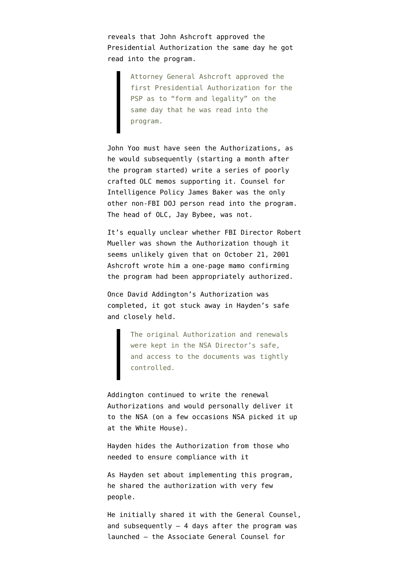reveals that John Ashcroft approved the Presidential Authorization the same day he got read into the program.

> Attorney General Ashcroft approved the first Presidential Authorization for the PSP as to "form and legality" on the same day that he was read into the program.

John Yoo must have seen the Authorizations, as he would subsequently (starting a month after the program started) write a series of poorly crafted OLC memos supporting it. Counsel for Intelligence Policy James Baker was the only other non-FBI DOJ person read into the program. The head of OLC, Jay Bybee, was not.

It's equally unclear whether FBI Director Robert Mueller was shown the Authorization though it seems unlikely given that on October 21, 2001 Ashcroft [wrote him](http://www.emptywheel.net/timeline-collection/warrantless-wiretap-memos-timeline/) a one-page mamo confirming the program had been appropriately authorized.

Once David Addington's Authorization was completed, it got stuck away in Hayden's safe and closely held.

> The original Authorization and renewals were kept in the NSA Director's safe, and access to the documents was tightly controlled.

Addington continued to write the renewal Authorizations and would personally deliver it to the NSA (on a few occasions NSA picked it up at the White House).

Hayden hides the Authorization from those who needed to ensure compliance with it

As Hayden set about implementing this program, he shared the authorization with very few people.

He initially shared it with the General Counsel, and subsequently  $-4$  days after the program was launched — the Associate General Counsel for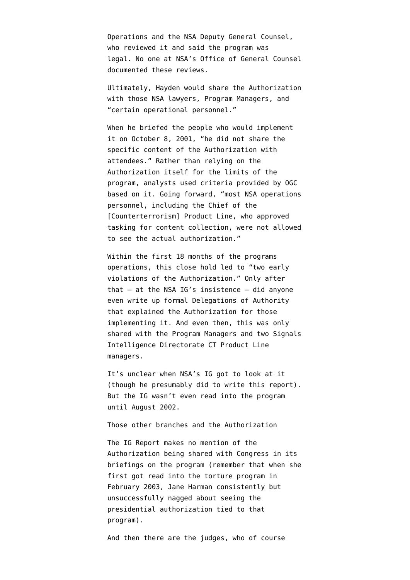Operations and the NSA Deputy General Counsel, who reviewed it and said the program was legal. No one at NSA's Office of General Counsel documented these reviews.

Ultimately, Hayden would share the Authorization with those NSA lawyers, Program Managers, and "certain operational personnel."

When he briefed the people who would implement it on October 8, 2001, "he did not share the specific content of the Authorization with attendees." Rather than relying on the Authorization itself for the limits of the program, analysts used criteria provided by OGC based on it. Going forward, "most NSA operations personnel, including the Chief of the [Counterterrorism] Product Line, who approved tasking for content collection, were not allowed to see the actual authorization."

Within the first 18 months of the programs operations, this close hold led to "two early violations of the Authorization." Only after that  $-$  at the NSA IG's insistence  $-$  did anyone even write up formal Delegations of Authority that explained the Authorization for those implementing it. And even then, this was only shared with the Program Managers and two Signals Intelligence Directorate CT Product Line managers.

It's unclear when NSA's IG got to look at it (though he presumably did to write this report). But the IG wasn't even read into the program until August 2002.

Those other branches and the Authorization

The IG Report makes no mention of the Authorization being shared with Congress in its briefings on the program (remember that when she first got read into the torture program in February 2003, Jane Harman consistently but unsuccessfully nagged about seeing the presidential authorization tied to that program).

And then there are the judges, who of course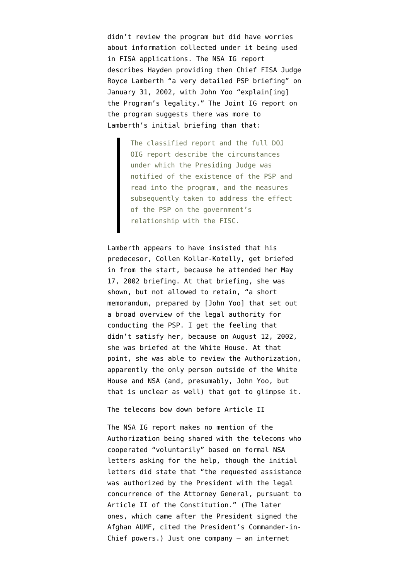didn't review the program but did have worries about information collected under it being used in FISA applications. The NSA IG report describes Hayden providing then Chief FISA Judge Royce Lamberth "a very detailed PSP briefing" on January 31, 2002, with John Yoo "explain[ing] the Program's legality." The [Joint IG report](https://www.fas.org/irp/eprint/psp.pdf) on the program suggests there was more to Lamberth's initial briefing than that:

> The classified report and the full DOJ OIG report describe the circumstances under which the Presiding Judge was notified of the existence of the PSP and read into the program, and the measures subsequently taken to address the effect of the PSP on the government's relationship with the FISC.

Lamberth appears to have insisted that his predecesor, Collen Kollar-Kotelly, get briefed in from the start, because he attended her May 17, 2002 briefing. At that briefing, she was shown, but not allowed to retain, "a short memorandum, prepared by [John Yoo] that set out a broad overview of the legal authority for conducting the PSP. I get the feeling that didn't satisfy her, because on August 12, 2002, she was briefed at the White House. At that point, she was able to review the Authorization, apparently the only person outside of the White House and NSA (and, presumably, John Yoo, but that is unclear as well) that got to glimpse it.

The telecoms bow down before Article II

The NSA IG report makes no mention of the Authorization being shared with the telecoms who cooperated "voluntarily" based on formal NSA letters asking for the help, though the initial letters did state that "the requested assistance was authorized by the President with the legal concurrence of the Attorney General, pursuant to Article II of the Constitution." (The later ones, which came after the President signed the Afghan AUMF, cited the President's Commander-in-Chief powers.) Just one company — an internet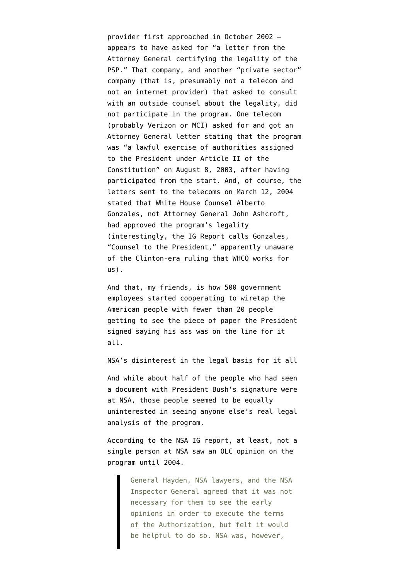provider first approached in October 2002 appears to have asked for "a letter from the Attorney General certifying the legality of the PSP." That company, and another "private sector" company (that is, presumably not a telecom and not an internet provider) that asked to consult with an outside counsel about the legality, did not participate in the program. One telecom (probably Verizon or MCI) asked for and got an Attorney General letter stating that the program was "a lawful exercise of authorities assigned to the President under Article II of the Constitution" on August 8, 2003, after having participated from the start. And, of course, the letters sent to the telecoms on March 12, 2004 stated that White House Counsel Alberto Gonzales, not Attorney General John Ashcroft, had approved the program's legality (interestingly, the IG Report calls Gonzales, "Counsel to the President," apparently unaware of the Clinton-era ruling that WHCO works for us).

And that, my friends, is how 500 government employees started cooperating to wiretap the American people with fewer than 20 people getting to see the piece of paper the President signed saying his ass was on the line for it all.

NSA's disinterest in the legal basis for it all

And while about half of the people who had seen a document with President Bush's signature were at NSA, those people seemed to be equally uninterested in seeing anyone else's real legal analysis of the program.

According to the NSA IG report, at least, not a single person at NSA saw an OLC opinion on the program until 2004.

> General Hayden, NSA lawyers, and the NSA Inspector General agreed that it was not necessary for them to see the early opinions in order to execute the terms of the Authorization, but felt it would be helpful to do so. NSA was, however,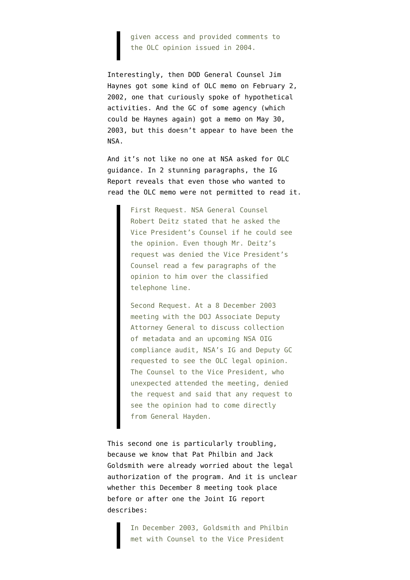given access and provided comments to the OLC opinion issued in 2004.

Interestingly, then DOD General Counsel Jim Haynes [got some kind of OLC memo](http://www.emptywheel.net/timeline-collection/warrantless-wiretap-memos-timeline/) on February 2, 2002, one that curiously spoke of hypothetical activities. And the GC of some agency (which could be Haynes again) got a memo on May 30, 2003, but this doesn't appear to have been the NSA.

And it's not like no one at NSA asked for OLC guidance. In 2 stunning paragraphs, the IG Report reveals that even those who wanted to read the OLC memo were not permitted to read it.

> First Request. NSA General Counsel Robert Deitz stated that he asked the Vice President's Counsel if he could see the opinion. Even though Mr. Deitz's request was denied the Vice President's Counsel read a few paragraphs of the opinion to him over the classified telephone line.

> Second Request. At a 8 December 2003 meeting with the DOJ Associate Deputy Attorney General to discuss collection of metadata and an upcoming NSA OIG compliance audit, NSA's IG and Deputy GC requested to see the OLC legal opinion. The Counsel to the Vice President, who unexpected attended the meeting, denied the request and said that any request to see the opinion had to come directly from General Hayden.

This second one is particularly troubling, because we know that Pat Philbin and Jack Goldsmith were already worried about the legal authorization of the program. And it is unclear whether this December 8 meeting took place before or after one the Joint IG report describes:

> In December 2003, Goldsmith and Philbin met with Counsel to the Vice President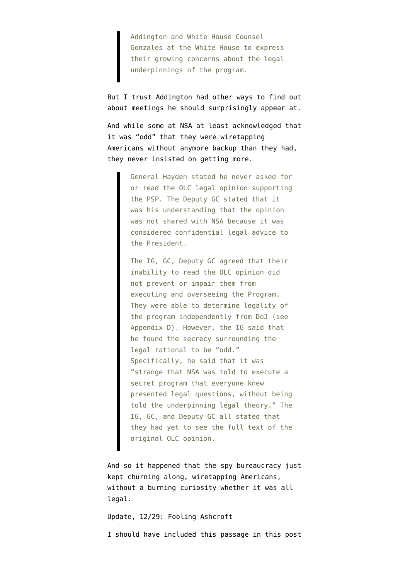Addington and White House Counsel Gonzales at the White House to express their growing concerns about the legal underpinnings of the program.

But I trust Addington had other ways to find out about meetings he should surprisingly appear at.

And while some at NSA at least acknowledged that it was "odd" that they were wiretapping Americans without anymore backup than they had, they never insisted on getting more.

> General Hayden stated he never asked for or read the OLC legal opinion supporting the PSP. The Deputy GC stated that it was his understanding that the opinion was not shared with NSA because it was considered confidential legal advice to the President.

> The IG, GC, Deputy GC agreed that their inability to read the OLC opinion did not prevent or impair them from executing and overseeing the Program. They were able to determine legality of the program independently from DoJ (see Appendix D). However, the IG said that he found the secrecy surrounding the legal rational to be "odd." Specifically, he said that it was "strange that NSA was told to execute a secret program that everyone knew presented legal questions, without being told the underpinning legal theory." The IG, GC, and Deputy GC all stated that they had yet to see the full text of the original OLC opinion.

And so it happened that the spy bureaucracy just kept churning along, wiretapping Americans, without a burning curiosity whether it was all legal.

Update, 12/29: Fooling Ashcroft

I should have included this passage in this post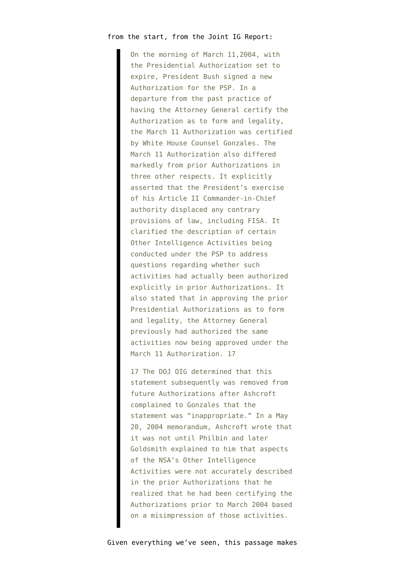## from the start, from the Joint IG Report:

On the morning of March 11,2004, with the Presidential Authorization set to expire, President Bush signed a new Authorization for the PSP. In a departure from the past practice of having the Attorney General certify the Authorization as to form and legality, the March 11 Authorization was certified by White House Counsel Gonzales. The March 11 Authorization also differed markedly from prior Authorizations in three other respects. It explicitly asserted that the President's exercise of his Article II Commander-in-Chief authority displaced any contrary provisions of law, including FISA. It clarified the description of certain Other Intelligence Activities being conducted under the PSP to address questions regarding whether such activities had actually been authorized explicitly in prior Authorizations. It also stated that in approving the prior Presidential Authorizations as to form and legality, the Attorney General previously had authorized the same activities now being approved under the March 11 Authorization. 17

17 The DOJ OIG determined that this statement subsequently was removed from future Authorizations after Ashcroft complained to Gonzales that the statement was "inappropriate." In a May 20, 2004 memorandum, Ashcroft wrote that it was not until Philbin and later Goldsmith explained to him that aspects of the NSA's Other Intelligence Activities were not accurately described in the prior Authorizations that he realized that he had been certifying the Authorizations prior to March 2004 based on a misimpression of those activities.

Given everything we've seen, this passage makes